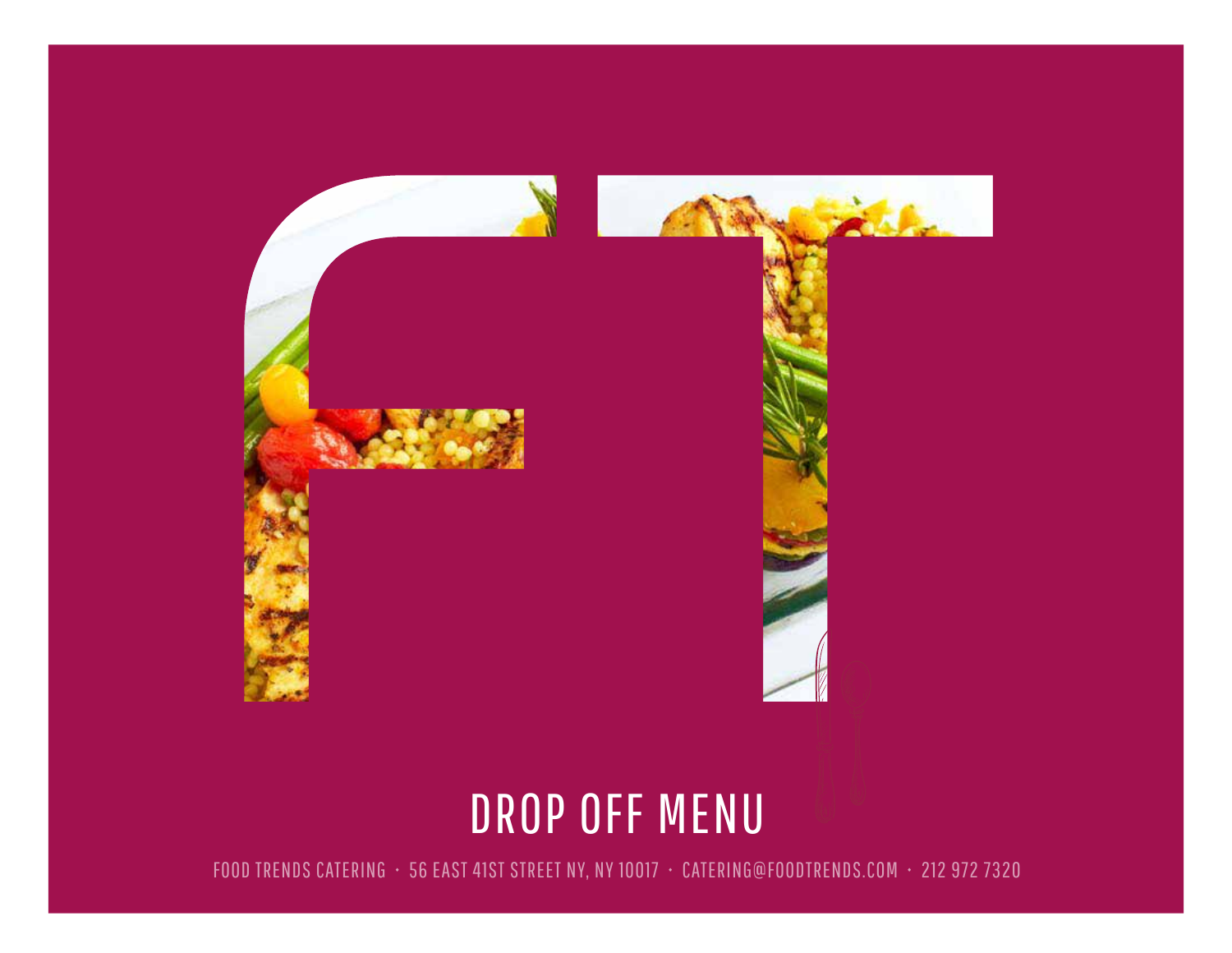

# DROP OFF MENU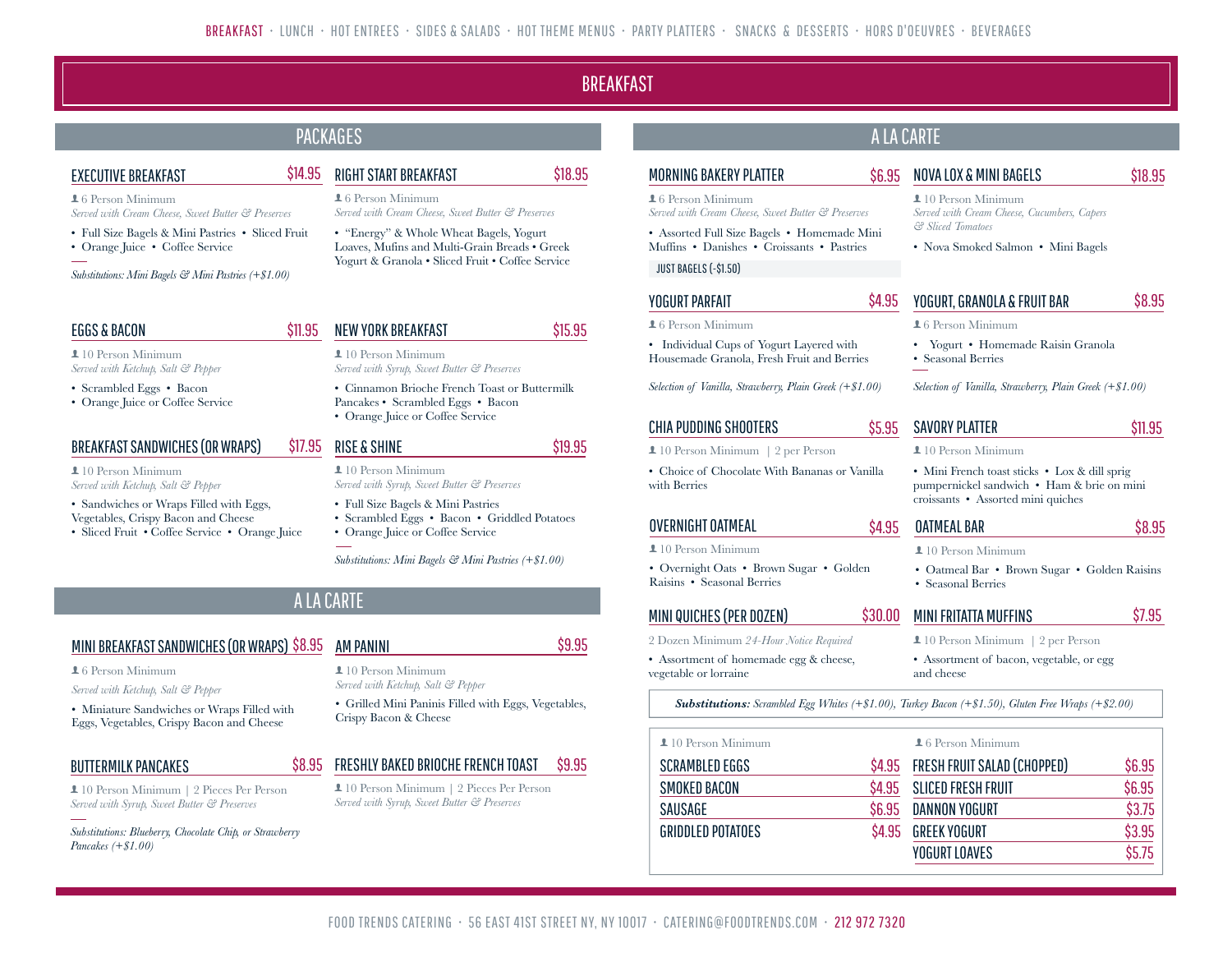### **BREAKFAST**

\$18.95

### PACKAGES

\$14.95

### EXECUTIVE BREAKFAST

**16 Person Minimum** 

- *Served with Cream Cheese, Sweet Butter & Preserves*
- Full Size Bagels & Mini Pastries Sliced Fruit • Orange Juice • Coffee Service
- 

*Substitutions: Mini Bagels & Mini Pastries (+\$1.00)*

#### EGGS & BACON

 $10$  Person Minimum *Served with Ketchup, Salt & Pepper*

- Scrambled Eggs Bacon
- Orange Juice or Coffee Service

#### BREAKFAST SANDWICHES (OR WRAPS)

 $10$  Person Minimum *Served with Ketchup, Salt & Pepper*

- Sandwiches or Wraps Filled with Eggs, Vegetables, Crispy Bacon and Cheese
- Sliced Fruit Coffee Service Orange Juice

| RIGHT START BREAKFAST |  |
|-----------------------|--|
|                       |  |

#### **16 Person Minimum** *Served with Cream Cheese, Sweet Butter & Preserves*

• "Energy" & Whole Wheat Bagels, Yogurt Loaves, Mufins and Multi-Grain Breads • Greek Yogurt & Granola • Sliced Fruit • Coffee Service

| \$11.95 NEW YORK BREAKFAST                                                                                             | \$15.95 |
|------------------------------------------------------------------------------------------------------------------------|---------|
| $\perp$ 10 Person Minimum<br>Served with Syrup, Sweet Butter & Preserves                                               |         |
| • Cinnamon Brioche French Toast or Buttermilk<br>Pancakes • Scrambled Eggs • Bacon<br>• Orange Juice or Coffee Service |         |
| \$17.95 RISE & SHINE                                                                                                   | \$19.95 |
| $\perp$ 10 Person Minimum<br>Served with Syrup, Sweet Butter & Preserves                                               |         |
| • Full Size Bagels & Mini Pastries<br>• Scrambled Eggs • Bacon • Griddled Potatoes                                     |         |

• Orange Juice or Coffee Service

*Substitutions: Mini Bagels & Mini Pastries (+\$1.00)*

### A LA CARTE

#### MINI BREAKFAST SANDWICHES (OR WRAPS) \$8.95 AM PANINI

**16 Person Minimum** 

*Served with Ketchup, Salt & Pepper*

• Miniature Sandwiches or Wraps Filled with Eggs, Vegetables, Crispy Bacon and Cheese

### BUTTERMILK PANCAKES

 10 Person Minimum | 2 Pieces Per Person *Served with Syrup, Sweet Butter & Preserves*

*Substitutions: Blueberry, Chocolate Chip, or Strawberry Pancakes (+\$1.00)*

#### 10 Person Minimum *Served with Ketchup, Salt & Pepper*

• Grilled Mini Paninis Filled with Eggs, Vegetables, Crispy Bacon & Cheese

#### \$8.95 FRESHLY BAKED BRIOCHE FRENCH TOAST \$9.95

 10 Person Minimum | 2 Pieces Per Person *Served with Syrup, Sweet Butter & Preserves*

#### MORNING BAKERY PLATTER  $16$  Person Minimum *Served with Cream Cheese, Sweet Butter & Preserves* • Assorted Full Size Bagels • Homemade Mini \$6.95 NOVA LOX & MINI BAGELS  $10$  Person Minimum

Muffins • Danishes • Croissants • Pastries

### JUST BAGELS (-\$1.50)

### YOGURT PARFAIT

#### $16$  Person Minimum

• Individual Cups of Yogurt Layered with Housemade Granola, Fresh Fruit and Berries

*Selection of Vanilla, Strawberry, Plain Greek (+\$1.00)*

### CHIA PUDDING SHOOTERS

- 10 Person Minimum | 2 per Person
- Choice of Chocolate With Bananas or Vanilla with Berries

### OVERNIGHT OATMEAL

#### $10$  Person Minimum

• Overnight Oats • Brown Sugar • Golden Raisins • Seasonal Berries

### MINI QUICHES (PER DOZEN)

- 2 Dozen Minimum *24-Hour Notice Required*
- Assortment of homemade egg & cheese, vegetable or lorraine

*Substitutions: Scrambled Egg Whites (+\$1.00), Turkey Bacon (+\$1.50), Gluten Free Wraps (+\$2.00)*

\$5.95

\$4.95

| $\perp$ 10 Person Minimum |        | $\perp$ 6 Person Minimum    |        |
|---------------------------|--------|-----------------------------|--------|
| SCRAMBLED EGGS            | \$4.95 | FRESH FRUIT SALAD (CHOPPED) | \$6.95 |
| SMOKED BACON              | \$4.95 | SLICED FRESH FRUIT          | \$6.95 |
| SAUSAGE                   | \$6.95 | <b>DANNON YOGURT</b>        | \$3.75 |
| <b>GRIDDLED POTATOES</b>  | \$4.95 | <b>GREEK YOGURT</b>         | \$3.95 |
|                           |        | <b>YOGURT LOAVES</b>        | \$5.75 |

### *Served with Cream Cheese, Cucumbers, Capers & Sliced Tomatoes*

A LA CARTE

• Nova Smoked Salmon • Mini Bagels

#### \$4.95 YOGURT, GRANOLA & FRUIT BAR \$8.95

**16 Person Minimum** 

• Yogurt • Homemade Raisin Granola • Seasonal Berries

*Selection of Vanilla, Strawberry, Plain Greek (+\$1.00)*

## SAVORY PLATTER

 $10$  Person Minimum

\$8.95

\$7.95

\$11.95

\$18.95

• Mini French toast sticks • Lox & dill sprig pumpernickel sandwich • Ham & brie on mini croissants • Assorted mini quiches

| <b>OATMEAL BAR</b> |  |
|--------------------|--|
|                    |  |

**10 Person Minimum** 

• Oatmeal Bar • Brown Sugar • Golden Raisins • Seasonal Berries

## \$30.00 MINI FRITATTA MUFFINS

- 10 Person Minimum | 2 per Person
- Assortment of bacon, vegetable, or egg and cheese

\$9.95

- 
-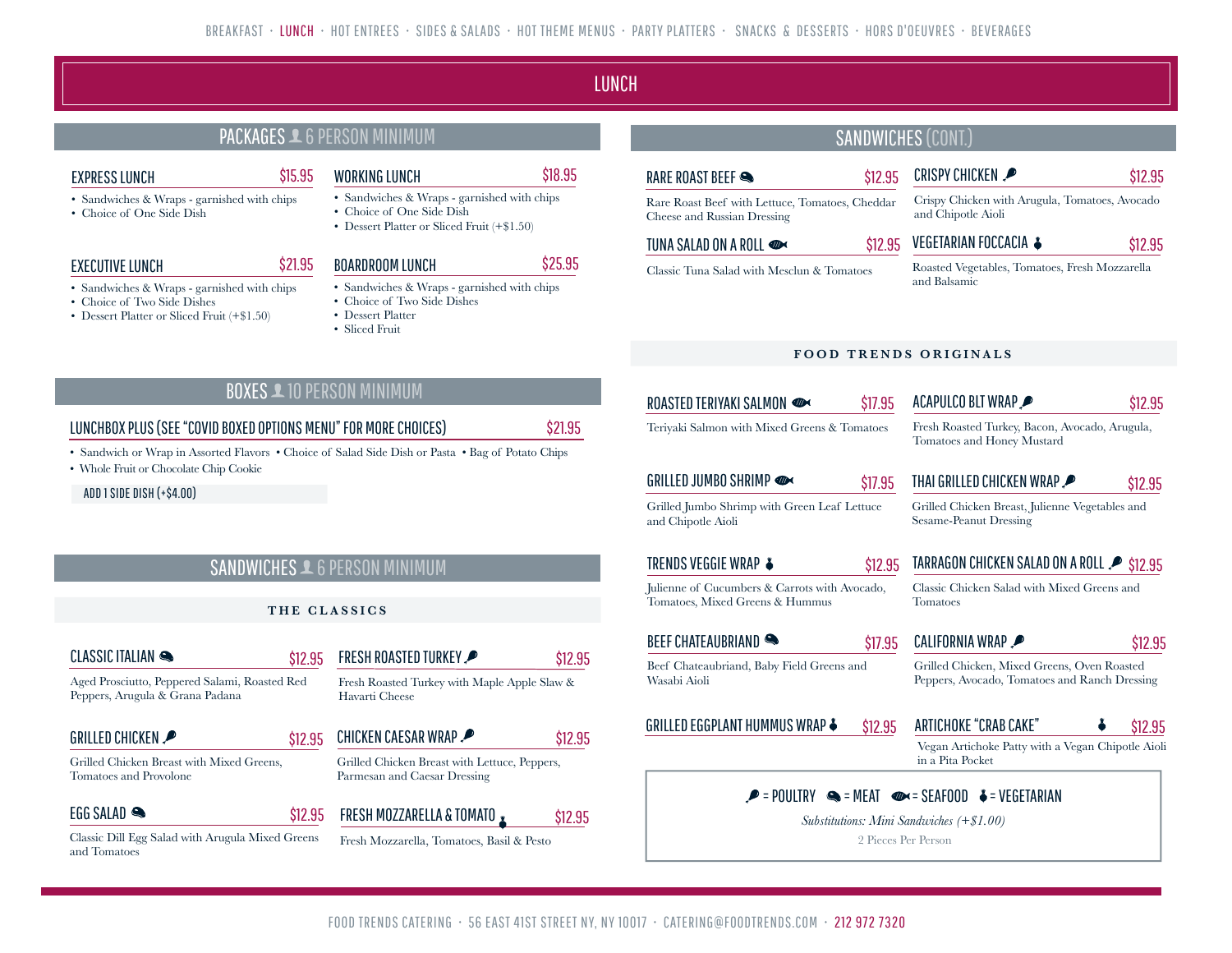LUNCH

### PACKAGES **1** 6 PERSON MINIMUM

#### EXPRESS LUNCH

- Sandwiches & Wraps garnished with chips
- Choice of One Side Dish

#### EXECUTIVE LUNCH

- Sandwiches & Wraps garnished with chips
- Choice of Two Side Dishes
- Dessert Platter or Sliced Fruit (+\$1.50)

\$15.95 WORKING LUNCH

- Sandwiches & Wraps garnished with chips • Choice of One Side Dish
- Dessert Platter or Sliced Fruit (+\$1.50)
- 

### BOARDROOM LUNCH

\$21.95

\$25.95

\$18.95

\$12.95

- Sandwiches & Wraps garnished with chips
- Choice of Two Side Dishes
- Dessert Platter
- Sliced Fruit

#### SANDWICHES (CONT.) CRISPY CHICKEN Crispy Chicken with Arugula, Tomatoes, Avocado and Chipotle Aioli \$12.95 RARE ROAST BEEF Rare Roast Beef with Lettuce, Tomatoes, Cheddar Cheese and Russian Dressing \$12.95 TUNA SALAD ON A ROLL Classic Tuna Salad with Mesclun & Tomatoes \$12.95 VEGETARIAN FOCCACIA ♣ Roasted Vegetables, Tomatoes, Fresh Mozzarella and Balsamic \$12.95

#### **FOOD TRENDS ORIGINALS**

| ROASTED TERIYAKI SALMON                                                          | \$17.95 | ACAPULCO BLT WRAP                                                                            | \$12.95 |
|----------------------------------------------------------------------------------|---------|----------------------------------------------------------------------------------------------|---------|
| Teriyaki Salmon with Mixed Greens & Tomatoes                                     |         | Fresh Roasted Turkey, Bacon, Avocado, Arugula,<br>Tomatoes and Honey Mustard                 |         |
| GRILLED JUMBO SHRIMP                                                             | \$17.95 | THAI GRILLED CHICKEN WRAP.                                                                   | \$12.95 |
| Grilled Jumbo Shrimp with Green Leaf Lettuce<br>and Chipotle Aioli               |         | Grilled Chicken Breast, Julienne Vegetables and<br>Sesame-Peanut Dressing                    |         |
|                                                                                  |         |                                                                                              |         |
| TRENDS VEGGIE WRAP ♣                                                             | \$12.95 | TARRAGON CHICKEN SALAD ON A ROLL 2 \$12.95                                                   |         |
| Julienne of Cucumbers & Carrots with Avocado,<br>Tomatoes, Mixed Greens & Hummus |         | Classic Chicken Salad with Mixed Greens and<br><b>Tomatoes</b>                               |         |
| BEEF CHATEAUBRIAND                                                               | \$17.95 | <b>CALIFORNIA WRAP</b>                                                                       |         |
| Beef Chateaubriand, Baby Field Greens and<br>Wasabi Aioli                        |         | Grilled Chicken, Mixed Greens, Oven Roasted<br>Peppers, Avocado, Tomatoes and Ranch Dressing | \$12.95 |
| GRILLED EGGPLANT HUMMUS WRAP ♣                                                   | \$12.95 | ARTICHOKE "CRAB CAKE"                                                                        | \$12.95 |

### BOXES **10 PERSON MINIMUM**

### LUNCHBOX PLUS (SEE "COVID BOXED OPTIONS MENU" FOR MORE CHOICES)

\$21.95

• Sandwich or Wrap in Assorted Flavors • Choice of Salad Side Dish or Pasta • Bag of Potato Chips

• Whole Fruit or Chocolate Chip Cookie

ADD 1 SIDE DISH (+\$4.00)

### SANDWICHES **1** 6 PERSON MINIMUM

\$12.95

\$12.95

### **THE CLASSICS**

### CLASSIC ITALIAN

Aged Prosciutto, Peppered Salami, Roasted Red Peppers, Arugula & Grana Padana

### GRILLED CHICKEN

Grilled Chicken Breast with Mixed Greens, Tomatoes and Provolone

### EGG SALAD

Classic Dill Egg Salad with Arugula Mixed Greens and Tomatoes

Fresh Roasted Turkey with Maple Apple Slaw & Havarti Cheese

FRESH ROASTED TURKEY

CHICKEN CAESAR WRAP \$12.95

#### Grilled Chicken Breast with Lettuce, Peppers, Parmesan and Caesar Dressing

#### \$12.95 FRESH MOZZARELLA & TOMATO \$12.95

Fresh Mozzarella, Tomatoes, Basil & Pesto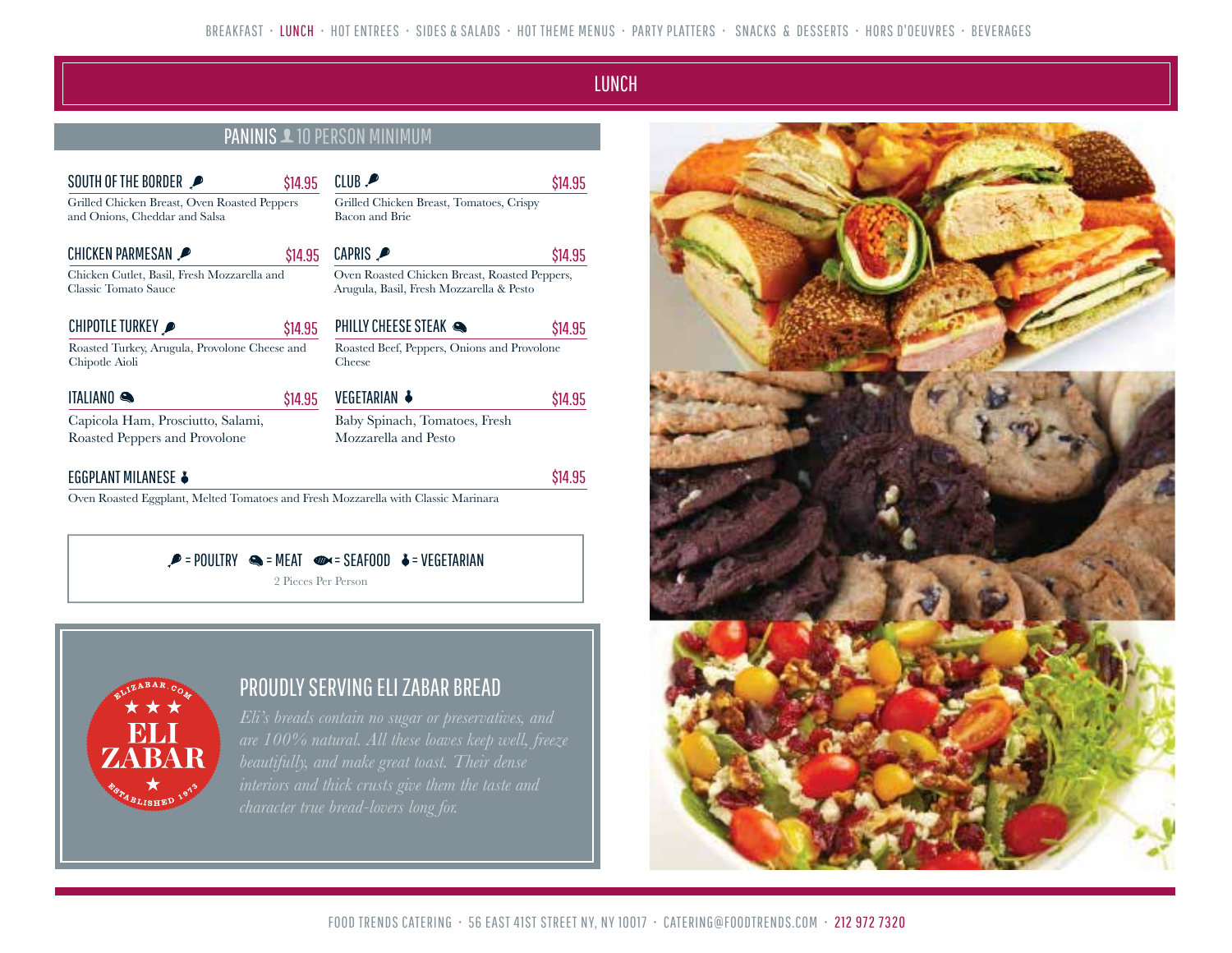### LUNCH LUNCH

\$14.95

\$14.95

\$14.95

\$14.95

\$14.95

### PANINIS **10 PERSON MINIMUM**

 $01115$ 

| SUUIH UF IHE BURDER                                                           | \$14.95 | LLUB P                                                                                    | S14.: |
|-------------------------------------------------------------------------------|---------|-------------------------------------------------------------------------------------------|-------|
| Grilled Chicken Breast, Oven Roasted Peppers<br>and Onions, Cheddar and Salsa |         | Grilled Chicken Breast, Tomatoes, Crispy<br>Bacon and Brie                                |       |
| <b>CHICKEN PARMESAN</b>                                                       | \$14.95 | CAPRIS P                                                                                  | S14.: |
| Chicken Cutlet, Basil, Fresh Mozzarella and<br>Classic Tomato Sauce           |         | Oven Roasted Chicken Breast, Roasted Peppers,<br>Arugula, Basil, Fresh Mozzarella & Pesto |       |
| CHIPOTLE TURKEY                                                               | \$14.95 | PHILLY CHEESE STEAK                                                                       | S14.: |
| Roasted Turkey, Arugula, Provolone Cheese and<br>Chipotle Aioli               |         | Roasted Beef, Peppers, Onions and Provolone<br>Cheese                                     |       |
| <b>ITALIANO</b>                                                               | \$14.95 | VEGETARIAN ↓                                                                              | S14.: |
| Capicola Ham, Prosciutto, Salami,<br>Roasted Peppers and Provolone            |         | Baby Spinach, Tomatoes, Fresh<br>Mozzarella and Pesto                                     |       |

### EGGPLANT MILANESE

SOUTH OF

Oven Roasted Eggplant, Melted Tomatoes and Fresh Mozzarella with Classic Marinara

 $\mathcal{P}$  = POULTRY  $\mathcal{Q}$  = MEAT  $\mathcal{Q}$  = SEAFOOD  $\mathcal{L}$  = VEGETARIAN

2 Pieces Per Person



### PROUDLY SERVING ELI ZABAR BREAD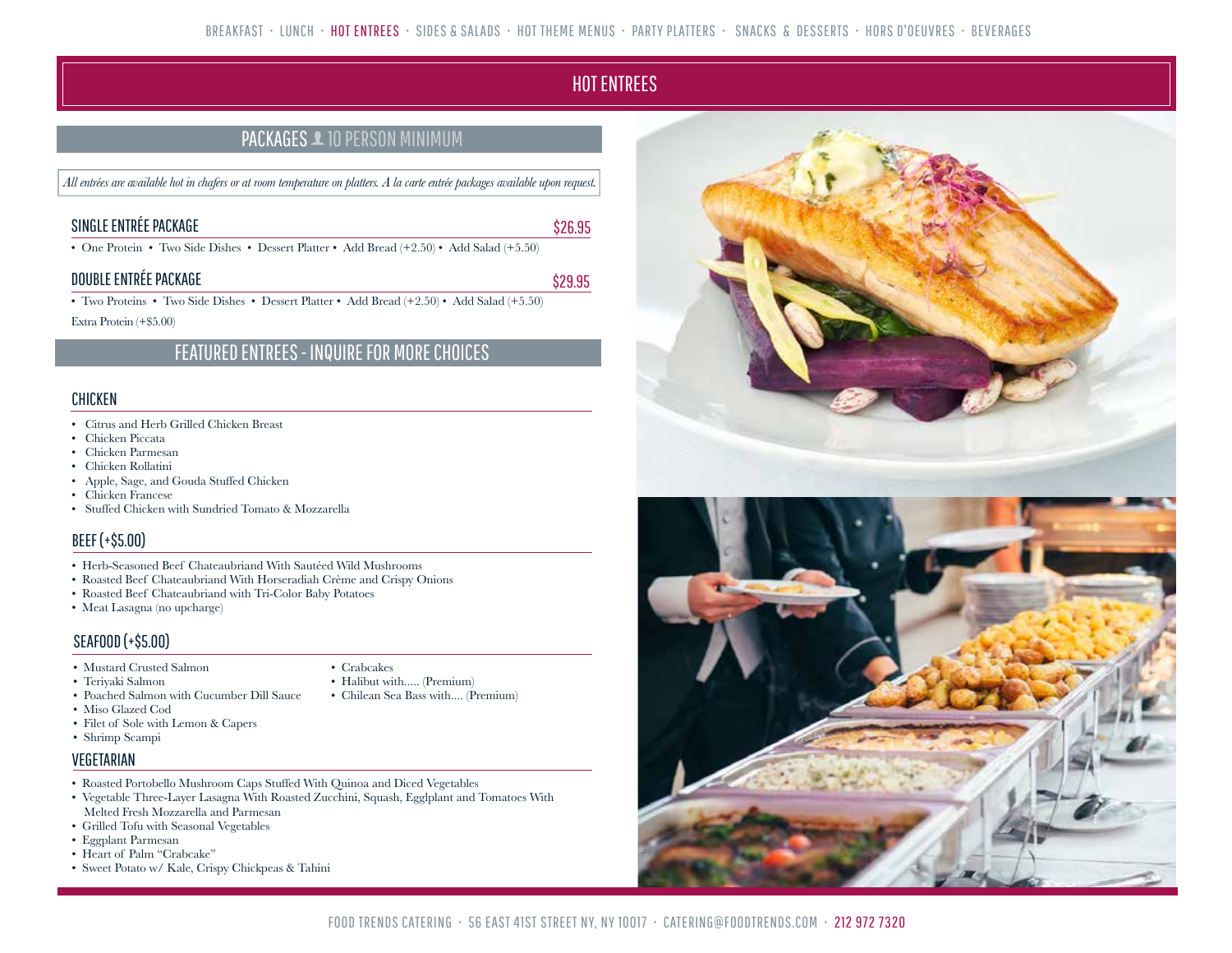## **HOT ENTREES**

\$29.95

\$26.95

### PACKAGES **10 PERSON MINIMUM**

*All entrées are available hot in chafers or at room temperature on platters. A la carte entrée packages available upon request.*

### SINGLE ENTRÉE PACKAGE

• One Protein • Two Side Dishes • Dessert Platter • Add Bread (+2.50) • Add Salad (+5.50)

### DOUBLE ENTRÉE PACKAGE

• Two Proteins • Two Side Dishes • Dessert Platter • Add Bread (+2.50) • Add Salad (+5.50)

Extra Protein (+\$5.00)

### FEATURED ENTREES - INQUIRE FOR MORE CHOICES

### **CHICKEN**

- Citrus and Herb Grilled Chicken Breast
- Chicken Piccata
- Chicken Parmesan
- Chicken Rollatini
- Apple, Sage, and Gouda Stuffed Chicken
- Chicken Francese
- Stuffed Chicken with Sundried Tomato & Mozzarella

### BEEF (+\$5.00)

- Herb-Seasoned Beef Chateaubriand With Sautéed Wild Mushrooms
- Roasted Beef Chateaubriand With Horseradiah Crème and Crispy Onions
- Roasted Beef Chateaubriand with Tri-Color Baby Potatoes
- Meat Lasagna (no upcharge)

### SEAFOOD (+\$5.00)

- Mustard Crusted Salmon
- Teriyaki Salmon
- Crabcakes • Halibut with..... (Premium)
- Chilean Sea Bass with.... (Premium)
- Poached Salmon with Cucumber Dill Sauce • Miso Glazed Cod
- Filet of Sole with Lemon & Capers
- Shrimp Scampi

### VEGETARIAN

- Roasted Portobello Mushroom Caps Stuffed With Quinoa and Diced Vegetables
- Vegetable Three-Layer Lasagna With Roasted Zucchini, Squash, Egglplant and Tomatoes With Melted Fresh Mozzarella and Parmesan
- Grilled Tofu with Seasonal Vegetables
- Eggplant Parmesan
- Heart of Palm "Crabcake"
- Sweet Potato w/ Kale, Crispy Chickpeas & Tahini

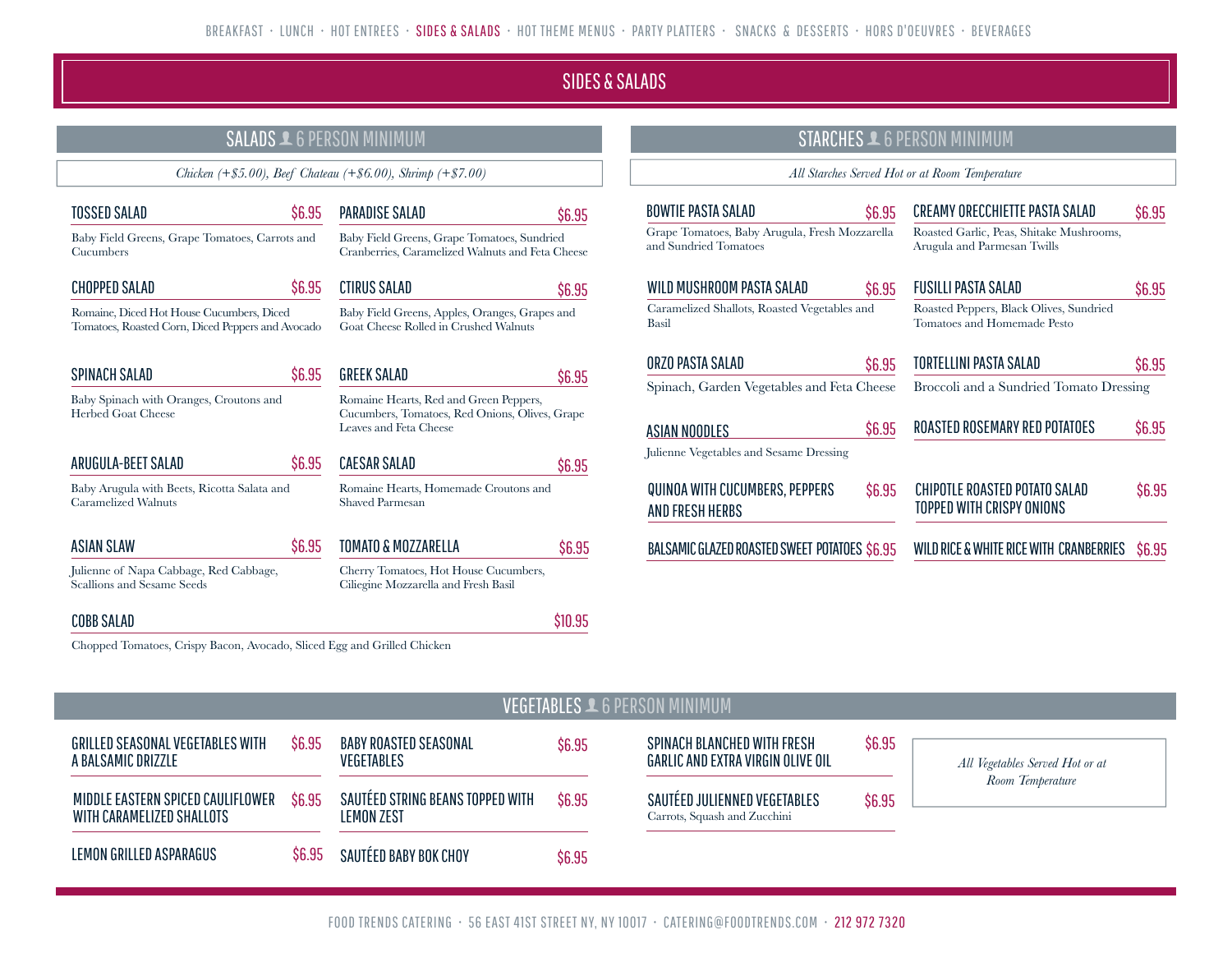### SIDES & SALADS

\$6.95

\$6.95

\$6.95

\$6.95

\$6.95

\$10.95

### SALADS  $\triangle$  6 PERSON MINIMUM

*Chicken (+\$5.00), Beef Chateau (+\$6.00), Shrimp (+\$7.00)*

PARADISE SALAD

CTIRUS SALAD

**GREEK SALAD** 

\$6.95 CAESAR SALAD

Leaves and Feta Cheese

Shaved Parmesan

\$6.95 TOMATO & MOZZARELLA

Baby Field Greens, Grape Tomatoes, Sundried Cranberries, Caramelized Walnuts and Feta Cheese

Baby Field Greens, Apples, Oranges, Grapes and Goat Cheese Rolled in Crushed Walnuts

Romaine Hearts, Red and Green Peppers, Cucumbers, Tomatoes, Red Onions, Olives, Grape

| <b>TOSSED SALAD</b>                                                                            | \$6.95 |
|------------------------------------------------------------------------------------------------|--------|
| Baby Field Greens, Grape Tomatoes, Carrots and<br>Cucumbers                                    |        |
| <b>CHOPPED SALAD</b>                                                                           | \$6.95 |
| Romaine, Diced Hot House Cucumbers, Diced<br>Tomatoes, Roasted Corn, Diced Peppers and Avocado |        |
| SPINACH SALAD                                                                                  | \$6.95 |
| Baby Spinach with Oranges, Croutons and                                                        |        |

Baby Spinach with Oranges, Croutons and Herbed Goat Cheese

Baby Arugula with Beets, Ricotta Salata and Caramelized Walnuts

ASIAN SLAW

COBB SALAD

Julienne of Napa Cabbage, Red Cabbage, Scallions and Sesame Seeds

Cherry Tomatoes, Hot House Cucumbers, Ciliegine Mozzarella and Fresh Basil

Romaine Hearts, Homemade Croutons and

*All Starches Served Hot or at Room Temperature*

STARCHES **1** 6 PERSON MINIMUM

| BOWTIE PASTA SALAD                                                      | \$6.95 | CREAMY ORECCHIETTE PASTA SALAD                                          | \$6.95 |
|-------------------------------------------------------------------------|--------|-------------------------------------------------------------------------|--------|
| Grape Tomatoes, Baby Arugula, Fresh Mozzarella<br>and Sundried Tomatoes |        | Roasted Garlic, Peas, Shitake Mushrooms,<br>Arugula and Parmesan Twills |        |
| WILD MUSHROOM PASTA SALAD                                               | \$6.95 | FUSILLI PASTA SALAD                                                     | \$6.95 |
| Caramelized Shallots, Roasted Vegetables and<br>Basil                   |        | Roasted Peppers, Black Olives, Sundried<br>Tomatoes and Homemade Pesto  |        |
| ORZO PASTA SALAD                                                        | \$6.95 | TORTELLINI PASTA SALAD                                                  | \$6.95 |
| Spinach, Garden Vegetables and Feta Cheese                              |        | Broccoli and a Sundried Tomato Dressing                                 |        |
| ASIAN NOODLES                                                           | \$6.95 | ROASTED ROSEMARY RED POTATOES                                           | \$6.95 |
| Julienne Vegetables and Sesame Dressing                                 |        |                                                                         |        |
| QUINOA WITH CUCUMBERS, PEPPERS<br>AND FRESH HERBS                       | \$6.95 | <b>CHIPOTLE ROASTED POTATO SALAD</b><br>TOPPED WITH CRISPY ONIONS       | \$6.95 |
| <b>BALSAMIC GLAZED ROASTED SWEET POTATOES \$6.95</b>                    |        | WILD RICE & WHITE RICE WITH CRANBERRIES                                 | \$6.95 |

\$6.95

\$6.95

Chopped Tomatoes, Crispy Bacon, Avocado, Sliced Egg and Grilled Chicken

### VEGETABLES **1** 6 PERSON MINIMUM

| <b>GRILLED SEASONAL VEGETABLES WITH</b><br>A BALSAMIC DRIZZLE  | \$6.95 | <b>BABY ROASTED SEASONAL</b><br><b>VEGETABLES</b>     | \$6.95 |
|----------------------------------------------------------------|--------|-------------------------------------------------------|--------|
| MIDDLE EASTERN SPICED CAULIFLOWER<br>WITH CARAMELIZED SHALLOTS | \$6.95 | SAUTÉED STRING BEANS TOPPED WITH<br><b>LEMON ZEST</b> | \$6.95 |
| LEMON GRILLED ASPARAGUS                                        | \$6.95 | SAUTÉED BABY BOK CHOY                                 | \$6.95 |

SPINACH BLANCHED WITH FRESH GARLIC AND EXTRA VIRGIN OLIVE OIL

SAUTÉED JULIENNED VEGETABLES Carrots, Squash and Zucchini

*All Vegetables Served Hot or at Room Temperature*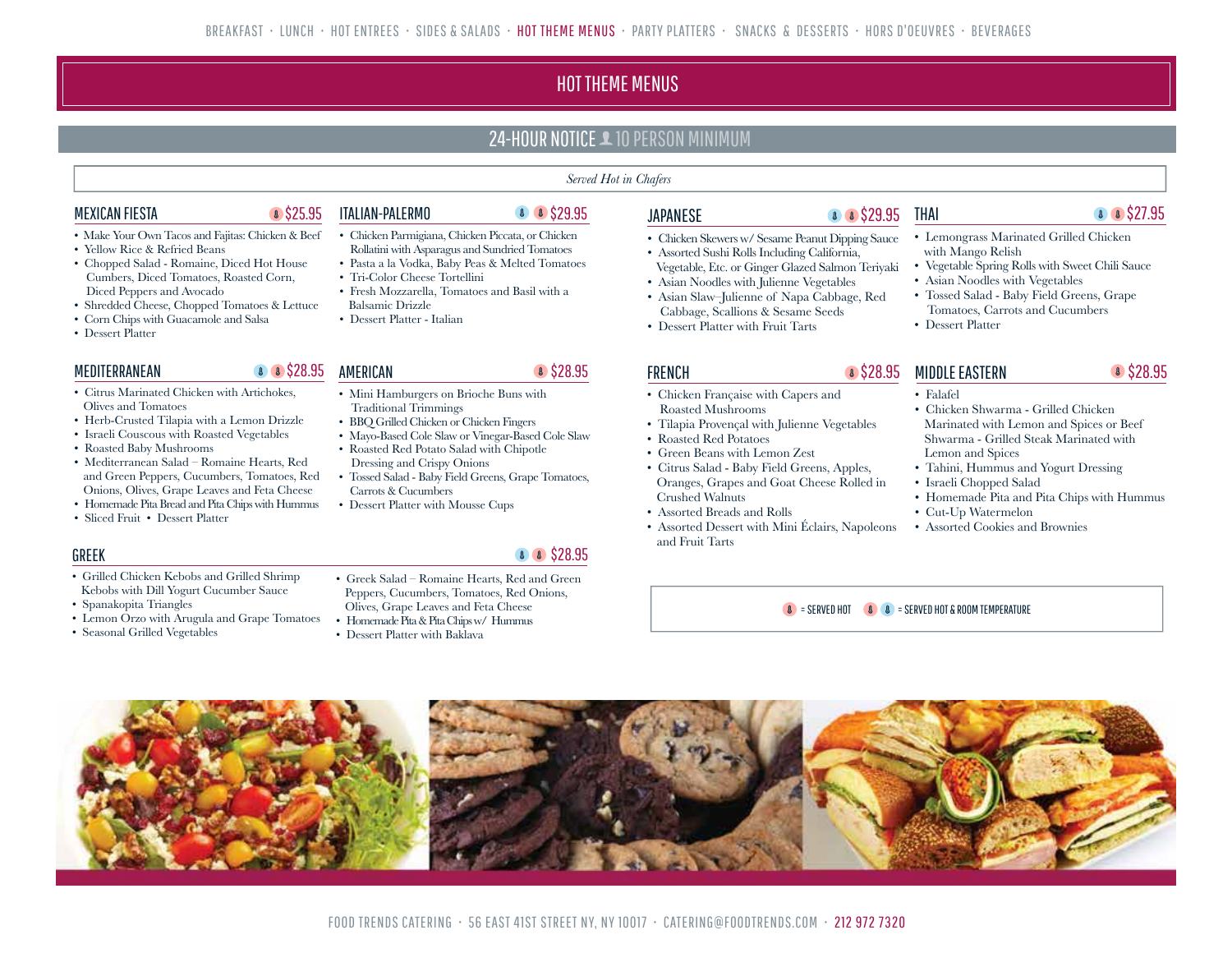## HOT THEME MENUS

### 24-HOUR NOTICE **1** 10 PERSON MINIMUM

#### *Served Hot in Chafers*

### MEXICAN FIESTA

- Make Your Own Tacos and Fajitas: Chicken & Beef
- Yellow Rice & Refried Beans
- Chopped Salad Romaine, Diced Hot House Cumbers, Diced Tomatoes, Roasted Corn, Diced Peppers and Avocado
- Shredded Cheese, Chopped Tomatoes & Lettuce
- Corn Chips with Guacamole and Salsa
- Dessert Platter

### MEDITERRANEAN 8 8 \$28.95 AMERICAN 8 \$28.95

- Citrus Marinated Chicken with Artichokes, Olives and Tomatoes
- Herb-Crusted Tilapia with a Lemon Drizzle
- Israeli Couscous with Roasted Vegetables
- Roasted Baby Mushrooms
- Mediterranean Salad Romaine Hearts, Red and Green Peppers, Cucumbers, Tomatoes, Red Onions, Olives, Grape Leaves and Feta Cheese
- Homemade Pita Bread and Pita Chips with Hummus
- Sliced Fruit Dessert Platter

### GREEK

- Grilled Chicken Kebobs and Grilled Shrimp Kebobs with Dill Yogurt Cucumber Sauce
- Spanakopita Triangles
- Lemon Orzo with Arugula and Grape Tomatoes
- Seasonal Grilled Vegetables

### **8 \$25.95 ITALIAN-PALERMO**

8 8 \$28.95

### 8 \$29.95

- Chicken Parmigiana, Chicken Piccata, or Chicken Rollatini with Asparagus and Sundried Tomatoes
- Pasta a la Vodka, Baby Peas & Melted Tomatoes
- Tri-Color Cheese Tortellini
- Fresh Mozzarella, Tomatoes and Basil with a Balsamic Drizzle
- Dessert Platter Italian

AMERICAN

- Mini Hamburgers on Brioche Buns with Traditional Trimmings
- BBQ Grilled Chicken or Chicken Fingers
- Mayo-Based Cole Slaw or Vinegar-Based Cole Slaw • Roasted Red Potato Salad with Chipotle
- Dressing and Crispy Onions • Tossed Salad - Baby Field Greens, Grape Tomatoes,
- Carrots & Cucumbers
- Dessert Platter with Mousse Cups

### 8 \$28.95

- Greek Salad Romaine Hearts, Red and Green Peppers, Cucumbers, Tomatoes, Red Onions, Olives, Grape Leaves and Feta Cheese
- Homemade Pita & Pita Chips w/ Hummus
- Dessert Platter with Baklava

### **JAPANESE**

- Chicken Skewers w/ Sesame Peanut Dipping Sauce
- Assorted Sushi Rolls Including California, Vegetable, Etc. or Ginger Glazed Salmon Teriyaki
- Asian Noodles with Julienne Vegetables
- Asian Slaw–Julienne of Napa Cabbage, Red Cabbage, Scallions & Sesame Seeds
- Dessert Platter with Fruit Tarts

### FRENCH

- Chicken Française with Capers and Roasted Mushrooms
- Tilapia Provençal with Julienne Vegetables
- Roasted Red Potatoes
- 
- Oranges, Grapes and Goat Cheese Rolled in Crushed Walnuts
- 
- Assorted Dessert with Mini Éclairs, Napoleons and Fruit Tarts

### **8 8 \$29.95 THAI**

#### • Lemongrass Marinated Grilled Chicken with Mango Relish

- Vegetable Spring Rolls with Sweet Chili Sauce
- 
- Tomatoes, Carrots and Cucumbers
- Dessert Platter

### **8 \$28.95 MIDDLE EASTERN**

#### • Falafel

- Chicken Shwarma Grilled Chicken Marinated with Lemon and Spices or Beef Shwarma - Grilled Steak Marinated with Lemon and Spices
- Tahini, Hummus and Yogurt Dressing
- Israeli Chopped Salad
- Homemade Pita and Pita Chips with Hummus
- Cut-Up Watermelon
- Assorted Cookies and Brownies

 $\bullet$  = SERVED HOT  $\bullet$   $\bullet$   $\bullet$  = SERVED HOT & ROOM TEMPERATURE



- 
- 
- 
- 
- Green Beans with Lemon Zest
- Citrus Salad Baby Field Greens, Apples,
- Assorted Breads and Rolls
- 
- Asian Noodles with Vegetables
- Tossed Salad Baby Field Greens, Grape
- 

8 \$27.95

8 \$28.95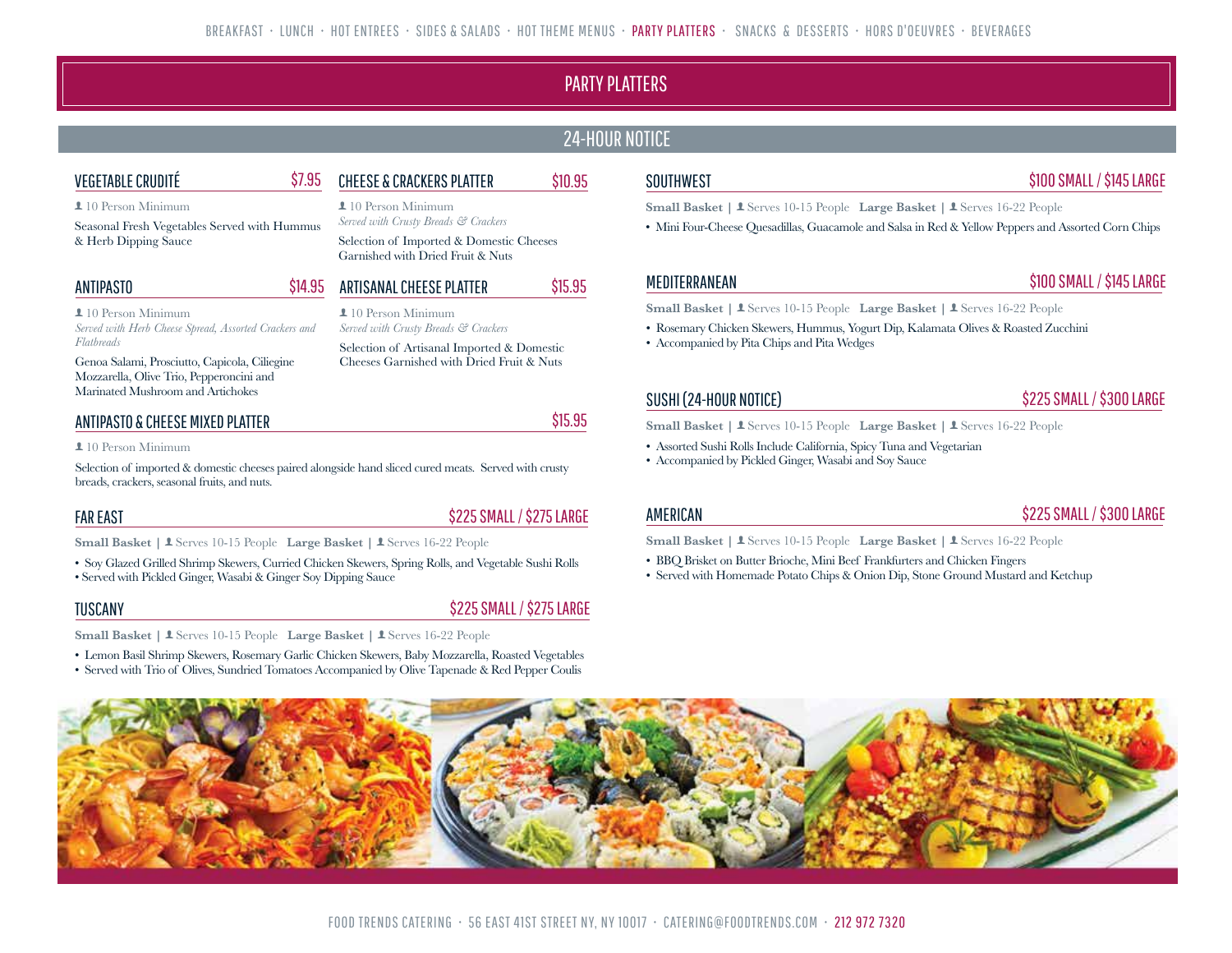### PARTY PLATTERS

### 24-HOUR NOTICE

### VEGETABLE CRUDITÉ

CHEESE & CRACKERS PLATTER \$10.95

10 Person Minimum

Seasonal Fresh Vegetables Served with Hummus & Herb Dipping Sauce

#### ANTIPASTO

**1**10 Person Minimum *Served with Herb Cheese Spread, Assorted Crackers and Flatbreads*

Genoa Salami, Prosciutto, Capicola, Ciliegine Mozzarella, Olive Trio, Pepperoncini and Marinated Mushroom and Artichokes

### ANTIPASTO & CHEESE MIXED PLATTER

#### **1** 10 Person Minimum

Selection of imported & domestic cheeses paired alongside hand sliced cured meats. Served with crusty breads, crackers, seasonal fruits, and nuts.

\$7.95

### FAR EAST

\$225 SMALL / \$275 LARGE

\$225 SMALL / \$275 LARGE

Small Basket | **1** Serves 10-15 People Large Basket | **1** Serves 16-22 People

• Soy Glazed Grilled Shrimp Skewers, Curried Chicken Skewers, Spring Rolls, and Vegetable Sushi Rolls • Served with Pickled Ginger, Wasabi & Ginger Soy Dipping Sauce

### TUSCANY

Small Basket | **1** Serves 10-15 People Large Basket | **1** Serves 16-22 People

• Lemon Basil Shrimp Skewers, Rosemary Garlic Chicken Skewers, Baby Mozzarella, Roasted Vegetables

• Served with Trio of Olives, Sundried Tomatoes Accompanied by Olive Tapenade & Red Pepper Coulis

### **SOUTHWEST**

### \$100 SMALL / \$145 LARGE

**Small Basket | 1 Serves 10-15 People Large Basket | 1 Serves 16-22 People** 

• Mini Four-Cheese Quesadillas, Guacamole and Salsa in Red & Yellow Peppers and Assorted Corn Chips

### MEDITERRANEAN

### \$100 SMALL / \$145 LARGE

**Small Basket | 1 Serves 10-15 People Large Basket | 1 Serves 16-22 People** 

- Rosemary Chicken Skewers, Hummus, Yogurt Dip, Kalamata Olives & Roasted Zucchini
- Accompanied by Pita Chips and Pita Wedges

### SUSHI (24-HOUR NOTICE)

### \$225 SMALL / \$300 LARGE

Small Basket | **1** Serves 10-15 People Large Basket | **1** Serves 16-22 People

- Assorted Sushi Rolls Include California, Spicy Tuna and Vegetarian
- Accompanied by Pickled Ginger, Wasabi and Soy Sauce

### AMERICAN

### \$225 SMALL / \$300 LARGE

**Small Basket | 1** Serves 10-15 People Large Basket | 1 Serves 16-22 People

- BBQ Brisket on Butter Brioche, Mini Beef Frankfurters and Chicken Fingers
- Served with Homemade Potato Chips & Onion Dip, Stone Ground Mustard and Ketchup



### FOOD TRENDS CATERING • 56 EAST 41ST STREET NY, NY 10017 • CATERING@FOODTRENDS.COM • 212 972 7320

## 10 Person Minimum

*Served with Crusty Breads & Crackers*

Selection of Imported & Domestic Cheeses Garnished with Dried Fruit & Nuts

#### ARTISANAL CHEESE PLATTER \$14.95

#### **1**10 Person Minimum *Served with Crusty Breads & Crackers*

Selection of Artisanal Imported & Domestic Cheeses Garnished with Dried Fruit & Nuts

\$15.95

\$15.95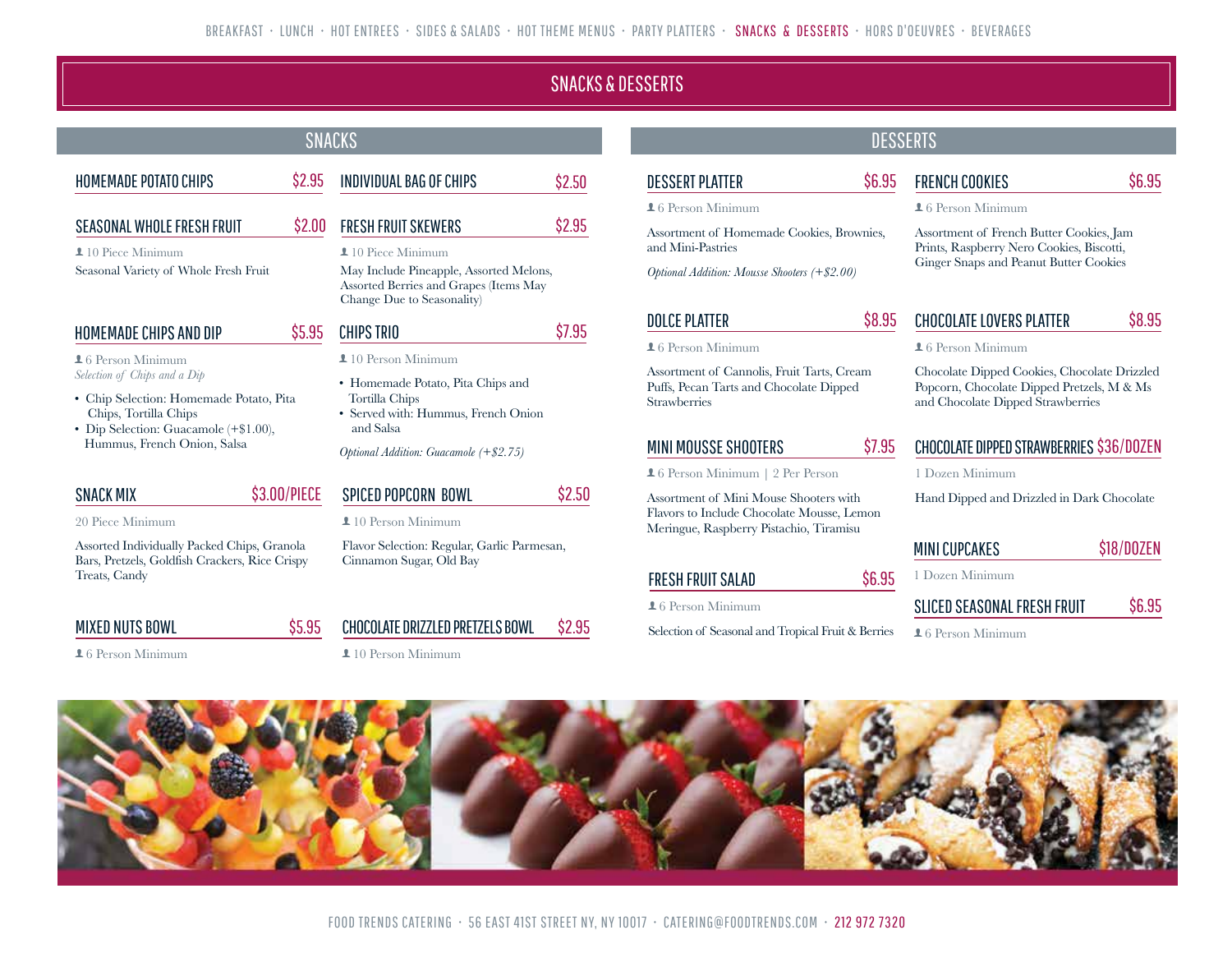### SNACKS & DESSERTS

#### HOMEMADE POTATO CHIPS S2.95 SEASONAL WHOLE FRESH FRUIT **1**10 Piece Minimum Seasonal Variety of Whole Fresh Fruit \$2.00 FRESH FRUIT SKEWERS  $10$  Piece Minimum May Include Pineapple, Assorted Melons, Assorted Berries and Grapes (Items May Change Due to Seasonality) \$2.95 SNACKS DESSERTS HOMEMADE CHIPS AND DIP  $16$  Person Minimum *Selection of Chips and a Dip* • Chip Selection: Homemade Potato, Pita Chips, Tortilla Chips • Dip Selection: Guacamole (+\$1.00), Hummus, French Onion, Salsa \$5.95 CHIPS TRIO **1**10 Person Minimum • Homemade Potato, Pita Chips and Tortilla Chips • Served with: Hummus, French Onion and Salsa *Optional Addition: Guacamole (+\$2.75)* \$7.95 SNACK MIX 20 Piece Minimum \$3.00/PIECE SPICED POPCORN BOWL 10 Person Minimum \$2.50 INDIVIDUAL BAG OF CHIPS \$2.50

Assorted Individually Packed Chips, Granola Bars, Pretzels, Goldfish Crackers, Rice Crispy

### MIXED NUTS BOWL

Treats, Candy

**16 Person Minimum** 

Flavor Selection: Regular, Garlic Parmesan, Cinnamon Sugar, Old Bay

\$5.95 CHOCOLATE DRIZZLED PRETZELS BOWL \$2.95

**1**10 Person Minimum

## DESSERT PLATTER

**16 Person Minimum** 

Assortment of Homemade Cookies, Brownies, and Mini-Pastries

*Optional Addition: Mousse Shooters (+\$2.00)*

### DOLCE PLATTER

#### $16$  Person Minimum

Assortment of Cannolis, Fruit Tarts, Cream Puffs, Pecan Tarts and Chocolate Dipped Strawberries

### MINI MOUSSE SHOOTERS

6 Person Minimum | 2 Per Person

Assortment of Mini Mouse Shooters with Flavors to Include Chocolate Mousse, Lemon Meringue, Raspberry Pistachio, Tiramisu

### FRESH FRUIT SALAD

**16 Person Minimum** 

Selection of Seasonal and Tropical Fruit & Berries

### \$8.95 CHOCOLATE LOVERS PLATTER \$8.95

Assortment of French Butter Cookies, Jam Prints, Raspberry Nero Cookies, Biscotti, Ginger Snaps and Peanut Butter Cookies

 $16$  Person Minimum

Chocolate Dipped Cookies, Chocolate Drizzled Popcorn, Chocolate Dipped Pretzels, M & Ms and Chocolate Dipped Strawberries

### \$7.95 CHOCOLATE DIPPED STRAWBERRIES \$36/DOZEN

1 Dozen Minimum

Hand Dipped and Drizzled in Dark Chocolate

| <b>MINI CUPCAKES</b> | \$18/D0ZEN |
|----------------------|------------|
| 1 Dozen Minimum      |            |

| SLICED SEASONAL FRESH FRUIT | \$6.95 |
|-----------------------------|--------|
|                             |        |

 $16$  Person Minimum

\$6.95



### \$6.95 FRENCH COOKIES

**16 Person Minimum** 

\$6.95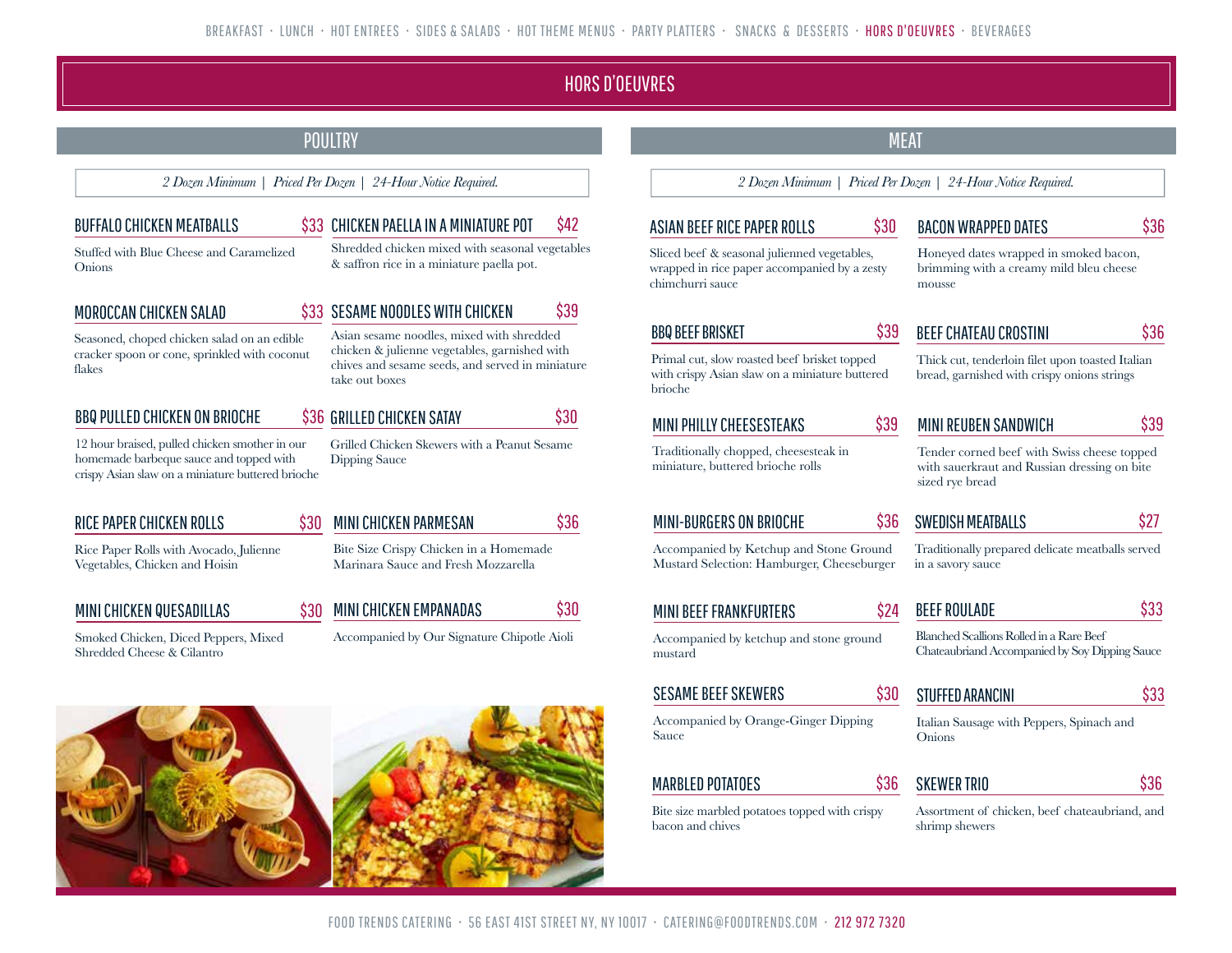### HORS D'OEUVRES

|                                                                                                                                                                                                                 |      | POULTRY                                                                                                                    |      |                                                                                                           | <b>MEAT</b> |                                                                                                 |      |
|-----------------------------------------------------------------------------------------------------------------------------------------------------------------------------------------------------------------|------|----------------------------------------------------------------------------------------------------------------------------|------|-----------------------------------------------------------------------------------------------------------|-------------|-------------------------------------------------------------------------------------------------|------|
|                                                                                                                                                                                                                 |      | 2 Dozen Minimum   Priced Per Dozen   24-Hour Notice Required.                                                              |      |                                                                                                           |             | 2 Dozen Minimum   Priced Per Dozen   24-Hour Notice Required.                                   |      |
| <b>BUFFALO CHICKEN MEATBALLS</b>                                                                                                                                                                                |      | \$33 CHICKEN PAELLA IN A MINIATURE POT                                                                                     | \$42 | ASIAN BEEF RICE PAPER ROLLS                                                                               | \$30        | <b>BACON WRAPPED DATES</b>                                                                      | S36  |
| Shredded chicken mixed with seasonal vegetables<br>Stuffed with Blue Cheese and Caramelized<br>& saffron rice in a miniature paella pot.<br>Onions                                                              |      | Sliced beef & seasonal julienned vegetables,<br>wrapped in rice paper accompanied by a zesty<br>chimchurri sauce<br>mousse |      | Honeyed dates wrapped in smoked bacon,<br>brimming with a creamy mild bleu cheese                         |             |                                                                                                 |      |
| MOROCCAN CHICKEN SALAD                                                                                                                                                                                          |      | SESAME NOODLES WITH CHICKEN                                                                                                | \$39 |                                                                                                           |             |                                                                                                 |      |
| Seasoned, choped chicken salad on an edible                                                                                                                                                                     |      | Asian sesame noodles, mixed with shredded                                                                                  |      | <b>BBQ BEEF BRISKET</b>                                                                                   | \$39        | <b>BEEF CHATEAU CROSTINI</b>                                                                    | \$36 |
| cracker spoon or cone, sprinkled with coconut<br>flakes                                                                                                                                                         |      | chicken & julienne vegetables, garnished with<br>chives and sesame seeds, and served in miniature<br>take out boxes        |      | Primal cut, slow roasted beef brisket topped<br>with crispy Asian slaw on a miniature buttered<br>brioche |             | Thick cut, tenderloin filet upon toasted Italian<br>bread, garnished with crispy onions strings |      |
| <b>BBQ PULLED CHICKEN ON BRIOCHE</b>                                                                                                                                                                            |      | \$36 GRILLED CHICKEN SATAY                                                                                                 | \$30 | MINI PHILLY CHEESESTEAKS                                                                                  | \$39        | MINI REUBEN SANDWICH                                                                            | \$39 |
| 12 hour braised, pulled chicken smother in our<br>Grilled Chicken Skewers with a Peanut Sesame<br>homemade barbeque sauce and topped with<br>Dipping Sauce<br>crispy Asian slaw on a miniature buttered brioche |      | Traditionally chopped, cheesesteak in<br>miniature, buttered brioche rolls<br>sized rye bread                              |      | Tender corned beef with Swiss cheese topped<br>with sauerkraut and Russian dressing on bite               |             |                                                                                                 |      |
| RICE PAPER CHICKEN ROLLS                                                                                                                                                                                        | \$30 | <b>MINI CHICKEN PARMESAN</b>                                                                                               | \$36 | <b>MINI-BURGERS ON BRIOCHE</b>                                                                            | \$36        | <b>SWEDISH MEATBALLS</b>                                                                        | \$27 |
| Rice Paper Rolls with Avocado, Julienne<br>Vegetables, Chicken and Hoisin                                                                                                                                       |      | Bite Size Crispy Chicken in a Homemade<br>Marinara Sauce and Fresh Mozzarella                                              |      | Accompanied by Ketchup and Stone Ground<br>Mustard Selection: Hamburger, Cheeseburger                     |             | Traditionally prepared delicate meatballs served<br>in a savory sauce                           |      |
| MINI CHICKEN QUESADILLAS                                                                                                                                                                                        | S30  | MINI CHICKEN EMPANADAS                                                                                                     | \$30 | <b>MINI BEEF FRANKFURTERS</b>                                                                             | \$24        | <b>BEEF ROULADE</b>                                                                             | \$33 |
| Smoked Chicken, Diced Peppers, Mixed<br>Shredded Cheese & Cilantro                                                                                                                                              |      | Accompanied by Our Signature Chipotle Aioli                                                                                |      | Accompanied by ketchup and stone ground<br>mustard                                                        |             | Blanched Scallions Rolled in a Rare Beef<br>Chateaubriand Accompanied by Soy Dipping Sauce      |      |
|                                                                                                                                                                                                                 |      |                                                                                                                            |      | <b>SESAME BEEF SKEWERS</b>                                                                                | \$30        | <b>STUFFED ARANCINI</b>                                                                         | \$33 |
|                                                                                                                                                                                                                 |      |                                                                                                                            |      | Accompanied by Orange-Ginger Dipping<br>Sauce                                                             |             | Italian Sausage with Peppers, Spinach and<br>Onions                                             |      |
|                                                                                                                                                                                                                 |      |                                                                                                                            |      | <b>MARBLED POTATOES</b>                                                                                   | \$36        | <b>SKEWER TRIO</b>                                                                              | \$36 |
|                                                                                                                                                                                                                 |      |                                                                                                                            |      | Bite size marbled potatoes topped with crispy<br>bacon and chives                                         |             | Assortment of chicken, beef chateaubriand, and<br>shrimp shewers                                |      |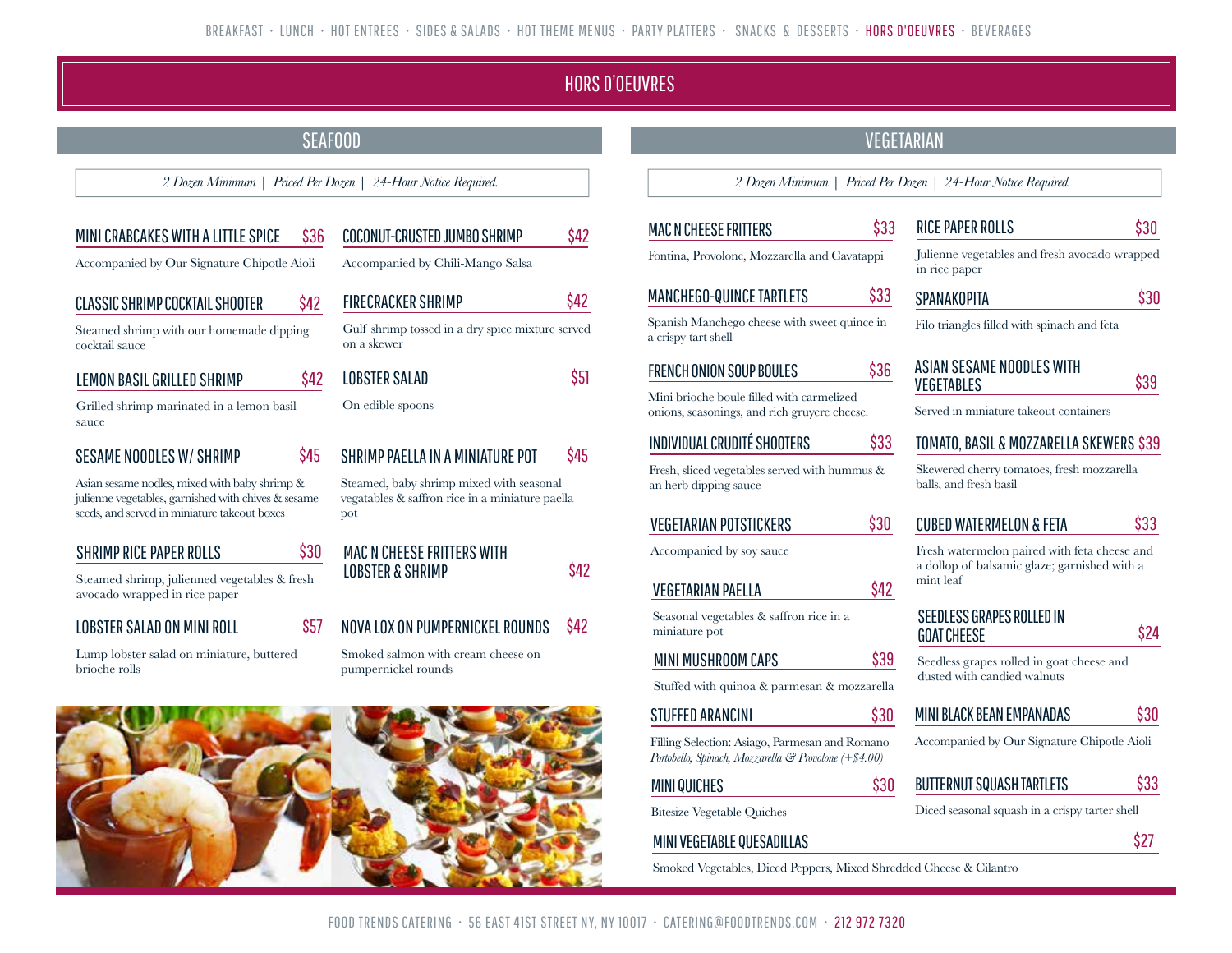### HORS D'OEUVRES

\$42

### SEAFOOD AND A SEAFOOD AND A SEAFOOD AND A SEAFOOD AND A SEAFOOD AND A SEAFOOD AND A SEAFOOD AND A SEAFOOD AND A SEAFOOD AND A SEAFOOD AND A SEAFOOD AND A SEAFOOD AND A SEAFOOD AND A SEAFOOD ASSAULT. A SEAFOOD ASSAULT. A SE

\$42

\$45

\$42

Accom<sup>-</sup>

#### MINI CRABCAKES WITH A LITTLE SPICE \$36 COCONUT-CRUSTED JUMBO SHRIMP

Accompanied by Our Signature Chipotle Aioli

### CLASSIC SHRIMP COCKTAIL SHOOTER

Steamed shrimp with our homemade dipping cocktail sauce

| LEMON BASIL GRILLED SHRIMP |  |
|----------------------------|--|
|----------------------------|--|

Grilled shrimp marinated in a lemon basil sauce

### SESAME NOODLES W/ SHRIMP

Asian sesame nodles, mixed with baby shrimp & julienne vegetables, garnished with chives & sesame seeds, and served in miniature takeout boxes

### SHRIMP RICE PAPER ROLLS

Steamed shrimp, julienned vegetables & fresh avocado wrapped in rice paper

### LOBSTER SALAD ON MINI ROLL

Lump lobster salad on miniature, buttered brioche rolls

| FIRECRACKER SHRIMP                                              | \$42 |
|-----------------------------------------------------------------|------|
| Gulf shrimp tossed in a dry spice mixture served<br>on a skewer |      |
| <b>LOBSTER SALAD</b>                                            | \$51 |
| On edible spoons                                                |      |
| SHRIMP PAELLA IN A MINIATURE POT                                | 45   |

Steamed, baby shrimp mixed with seasonal vegatables & saffron rice in a miniature paella pot



#### \$57 NOVA LOX ON PUMPERNICKEL ROUNDS \$42

Smoked salmon with cream cheese on pumpernickel rounds



*2 Dozen Minimum | Priced Per Dozen | 24-Hour Notice Required. 2 Dozen Minimum | Priced Per Dozen | 24-Hour Notice Required.*

\$33

\$33

\$36

\$33

\$30

\$42

Fontina, Provolone, Mozzarella and Cavatappi

### MANCHEGO-QUINCE TARTLETS

Spanish Manchego cheese with sweet quince in a crispy tart shell

### FRENCH ONION SOUP BOULES

Mini brioche boule filled with carmelized onions, seasonings, and rich gruyere cheese.

### INDIVIDUAL CRUDITÉ SHOOTERS

Fresh, sliced vegetables served with hummus & an herb dipping sauce

#### VEGETARIAN POTSTICKERS

## Accompanied by soy sauce

### VEGETARIAN PAELLA

Seasonal vegetables & saffron rice in a miniature pot

### MINI MUSHROOM CAPS

Stuffed with quinoa & parmesan & mozzarella

### STUFFED ARANCINI

Filling Selection: Asiago, Parmesan and Romano *Portobello, Spinach, Mozzarella & Provolone (+\$4.00)*

### MINI QUICHES

Bitesize Vegetable Quiches

### MINI VEGETABLE QUESADILLAS

Smoked Vegetables, Diced Peppers, Mixed Shredded Cheese & Cilantro

\$30

\$30

\$39

| RICE PAPER ROLLS                                               | \$30 |
|----------------------------------------------------------------|------|
| Julienne vegetables and fresh avocado wrapped<br>in rice paper |      |
| SPANAKOPITA                                                    | \$30 |
| Filo triangles filled with spinach and feta                    |      |
| 85 880 AD EA 88878                                             |      |

| ASIAN SESAME NOODLES WITH<br><b>VEGETABLES</b> | \$39 |
|------------------------------------------------|------|
| Served in miniature takeout containers         |      |

### TOMATO, BASIL & MOZZARELLA SKEWERS \$39

Skewered cherry tomatoes, fresh mozzarella balls, and fresh basil

#### CUBED WATERMELON & FETA \$33

Fresh watermelon paired with feta cheese and a dollop of balsamic glaze; garnished with a mint leaf

| SEEDLESS GRAPES ROLLED IN |  |
|---------------------------|--|
| <b>GOAT CHEESE</b>        |  |

Seedless grapes rolled in goat cheese and dusted with candied walnuts

#### MINI BLACK BEAN EMPANADAS \$30

Accompanied by Our Signature Chipotle Aioli

#### BUTTERNUT SQUASH TARTLETS \$33

Diced seasonal squash in a crispy tarter shell

\$27

\$24